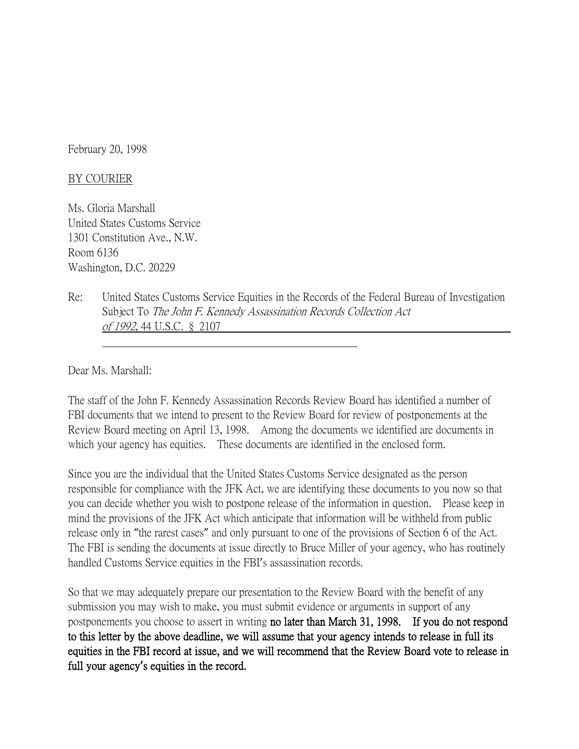February 20, 1998

## BY COURIER

Ms. Gloria Marshall United States Customs Service 1301 Constitution Ave., N.W. Room 6136 Washington, D.C. 20229

Re: United States Customs Service Equities in the Records of the Federal Bureau of Investigation Subject To The John F. Kennedy Assassination Records Collection Act of 1992, 44 U.S.C. § 2107

Dear Ms. Marshall:

The staff of the John F. Kennedy Assassination Records Review Board has identified a number of FBI documents that we intend to present to the Review Board for review of postponements at the Review Board meeting on April 13, 1998. Among the documents we identified are documents in which your agency has equities. These documents are identified in the enclosed form.

Since you are the individual that the United States Customs Service designated as the person responsible for compliance with the JFK Act, we are identifying these documents to you now so that you can decide whether you wish to postpone release of the information in question. Please keep in mind the provisions of the JFK Act which anticipate that information will be withheld from public release only in "the rarest cases" and only pursuant to one of the provisions of Section 6 of the Act. The FBI is sending the documents at issue directly to Bruce Miller of your agency, who has routinely handled Customs Service equities in the FBI's assassination records.

So that we may adequately prepare our presentation to the Review Board with the benefit of any submission you may wish to make, you must submit evidence or arguments in support of any postponements you choose to assert in writing no later than March 31, 1998. If you do not respond to this letter by the above deadline, we will assume that your agency intends to release in full its equities in the FBI record at issue, and we will recommend that the Review Board vote to release in full your agency**'**s equities in the record.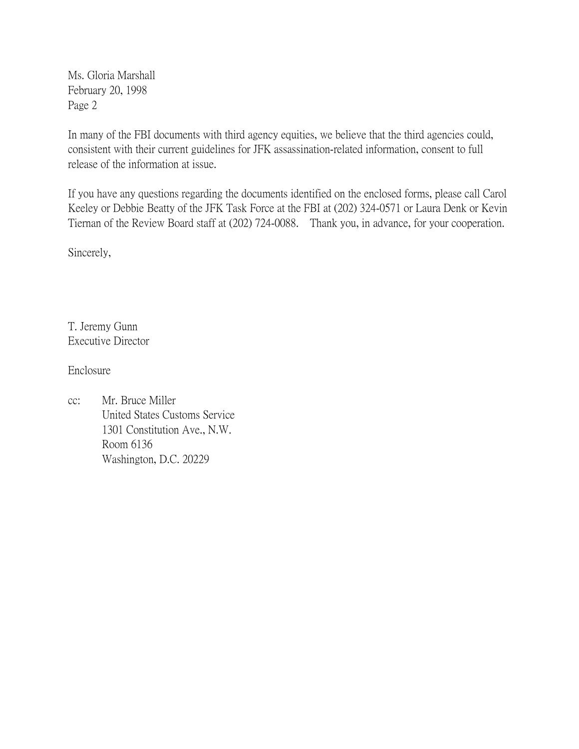Ms. Gloria Marshall February 20, 1998 Page 2

In many of the FBI documents with third agency equities, we believe that the third agencies could, consistent with their current guidelines for JFK assassination-related information, consent to full release of the information at issue.

If you have any questions regarding the documents identified on the enclosed forms, please call Carol Keeley or Debbie Beatty of the JFK Task Force at the FBI at (202) 324-0571 or Laura Denk or Kevin Tiernan of the Review Board staff at (202) 724-0088. Thank you, in advance, for your cooperation.

Sincerely,

T. Jeremy Gunn Executive Director

Enclosure

cc: Mr. Bruce Miller United States Customs Service 1301 Constitution Ave., N.W. Room 6136 Washington, D.C. 20229